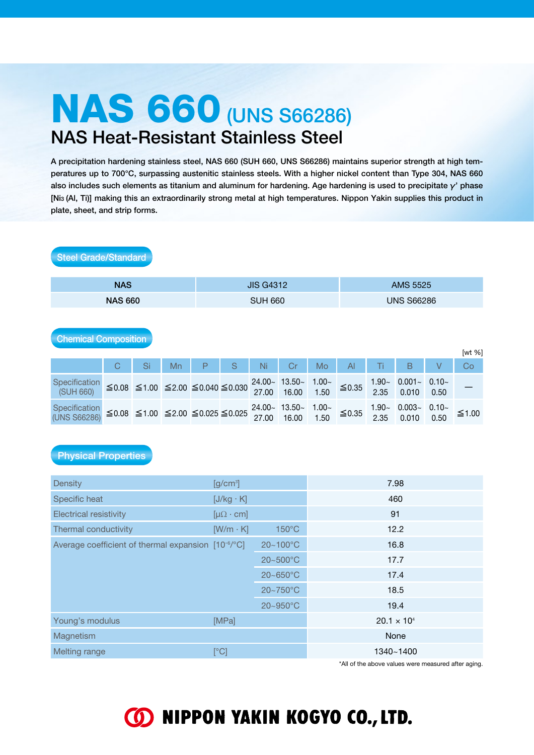# NAS 660 (UNS S66286) NAS Heat-Resistant Stainless Steel

A precipitation hardening stainless steel, NAS 660 (SUH 660, UNS S66286) maintains superior strength at high temperatures up to 700°C, surpassing austenitic stainless steels. With a higher nickel content than Type 304, NAS 660 also includes such elements as titanium and aluminum for hardening. Age hardening is used to precipitate  $\gamma'$  phase [Ni3 (Al, Ti)] making this an extraordinarily strong metal at high temperatures. Nippon Yakin supplies this product in plate, sheet, and strip forms.

| <b>NAS</b>                            |   |    |    |                                                               | <b>JIS G4312</b> |       |                            |                     | <b>AMS 5525</b>   |                  |                           |                 |       |
|---------------------------------------|---|----|----|---------------------------------------------------------------|------------------|-------|----------------------------|---------------------|-------------------|------------------|---------------------------|-----------------|-------|
| <b>NAS 660</b>                        |   |    |    |                                                               | <b>SUH 660</b>   |       |                            |                     | <b>UNS S66286</b> |                  |                           |                 |       |
| <b>Chemical Composition</b><br>[wt %] |   |    |    |                                                               |                  |       |                            |                     |                   |                  |                           |                 |       |
|                                       | C | Si | Mn | P                                                             | S                | Ni    | Cr                         | Mo                  | $\overline{A}$    | Τi               | B                         | V               | Co    |
| Specification<br>(SUH 660)            |   |    |    | $\leq$ 0.08 $\leq$ 1.00 $\leq$ 2.00 $\leq$ 0.040 $\leq$ 0.030 |                  | 27.00 | $24.00 - 13.50 -$<br>16.00 | 1.00 $\sim$<br>1.50 | ≤ 0.35            | 2.35             | $1.90 - 0.001 -$<br>0.010 | $0.10-$<br>0.50 |       |
| Specification<br>(UNS S66286)         |   |    |    | $\leq$ 0.08 $\leq$ 1.00 $\leq$ 2.00 $\leq$ 0.025 $\leq$ 0.025 |                  | 27.00 | $24.00 - 13.50 -$<br>16.00 | 1.00 $\sim$<br>1.50 | $≤ 0.35$          | $1.90 -$<br>2.35 | $0.003 -$<br>0.010        | $0.10-$<br>0.50 | ≤1.00 |

## Physical Properties

Steel Grade/Standard

| <b>Density</b>                                                  | $[g/cm^3]$             |                 | 7.98                 |
|-----------------------------------------------------------------|------------------------|-----------------|----------------------|
| Specific heat                                                   | $[J/kg \cdot K]$       |                 | 460                  |
| <b>Electrical resistivity</b>                                   | $[\mu\Omega \cdot cm]$ |                 | 91                   |
| Thermal conductivity                                            | $[W/m \cdot K]$        | $150^{\circ}$ C | 12.2                 |
| Average coefficient of thermal expansion [10 <sup>-6</sup> /°C] |                        | 20~100°C        | 16.8                 |
|                                                                 |                        | 20~500°C        | 17.7                 |
|                                                                 |                        | $20 - 650$ °C   | 17.4                 |
|                                                                 |                        | 20~750°C        | 18.5                 |
|                                                                 |                        | 20~950°C        | 19.4                 |
| Young's modulus                                                 | [MPa]                  |                 | $20.1 \times 10^{4}$ |
| Magnetism                                                       |                        |                 | None                 |
| Melting range                                                   | [°C]                   |                 | 1340~1400            |

\*All of the above values were measured after aging.

## **60 NIPPON YAKIN KOGYO CO., LTD.**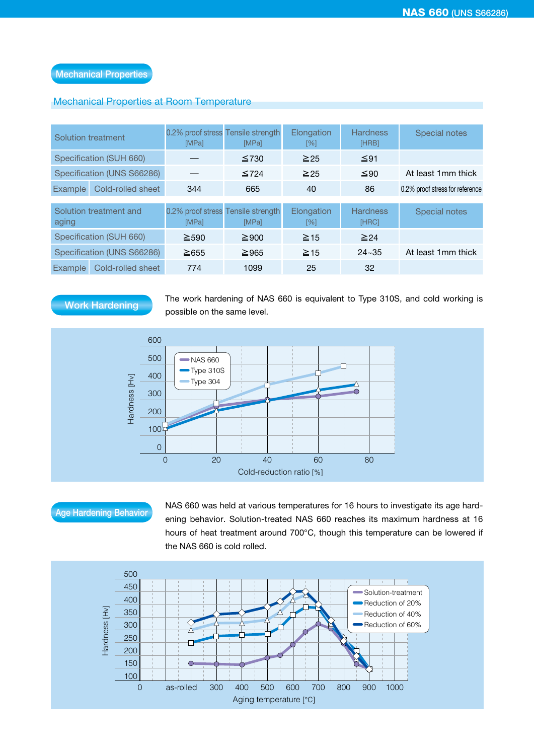## Mechanical Properties at Room Temperature

| Solution treatment              |                            | 0.2% proof stress Tensile strength<br>[MPa] | [MPa]      | Elongation<br>[%] | <b>Hardness</b><br>[HRB] | Special notes                   |
|---------------------------------|----------------------------|---------------------------------------------|------------|-------------------|--------------------------|---------------------------------|
|                                 | Specification (SUH 660)    |                                             | $\leq 730$ | $\geq 25$         | $\leq 91$                |                                 |
|                                 | Specification (UNS S66286) |                                             | $\leq 724$ | $\geq 25$         | $\leq 90$                | At least 1mm thick              |
| Cold-rolled sheet<br>Example    |                            | 344                                         | 665        | 40                | 86                       | 0.2% proof stress for reference |
|                                 |                            |                                             |            |                   |                          |                                 |
| Solution treatment and<br>aging |                            | 0.2% proof stress Tensile strength<br>[MPa] | [MPa]      | Elongation<br>[%] | <b>Hardness</b><br>[HRC] | <b>Special notes</b>            |
| Specification (SUH 660)         |                            | $\geq 590$                                  | $\geq$ 900 | $\geq$ 15         | $\geq 24$                |                                 |
| Specification (UNS S66286)      |                            | $\geq 655$                                  | $\geq$ 965 | $\geq$ 15         | $24 - 35$                | At least 1mm thick              |
| Cold-rolled sheet<br>Example    |                            | 774                                         | 1099       | 25                | 32                       |                                 |

## Work Hardening

The work hardening of NAS 660 is equivalent to Type 310S, and cold working is possible on the same level.



Age Hardening Behavior NAS 660 was held at various temperatures for 16 hours to investigate its age hard-<br>Age Hardening Behavior National International California to the Case we shall be assigned to the problem of 16 ening behavior. Solution-treated NAS 660 reaches its maximum hardness at 16 hours of heat treatment around 700°C, though this temperature can be lowered if the NAS 660 is cold rolled.

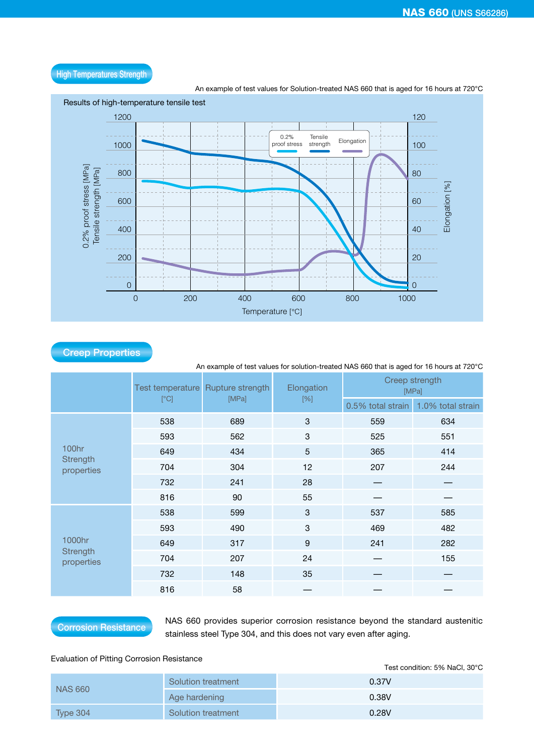

High Temperatures Strength

An example of test values for solution-treated NAS 660 that is aged for 16 hours at 720°C

|                               |      | Test temperature Rupture strength<br>[MPa] | Elongation                | Creep strength<br>[MPa] |                   |  |
|-------------------------------|------|--------------------------------------------|---------------------------|-------------------------|-------------------|--|
|                               | [°C] |                                            | $[\%]$                    | 0.5% total strain       | 1.0% total strain |  |
|                               | 538  | 689                                        | $\ensuremath{\mathsf{3}}$ | 559                     | 634               |  |
|                               | 593  | 562                                        | 3                         | 525                     | 551               |  |
| <b>100hr</b>                  | 649  | 434                                        | $\overline{5}$            | 365                     | 414               |  |
| Strength<br>properties        | 704  | 304                                        | 12                        | 207                     | 244               |  |
|                               | 732  | 241                                        | 28                        |                         |                   |  |
|                               | 816  | 90                                         | 55                        |                         |                   |  |
|                               | 538  | 599                                        | $\sqrt{3}$                | 537                     | 585               |  |
|                               | 593  | 490                                        | 3                         | 469                     | 482               |  |
| 1000hr                        | 649  | 317                                        | $\boldsymbol{9}$          | 241                     | 282               |  |
| <b>Strength</b><br>properties | 704  | 207                                        | 24                        |                         | 155               |  |
|                               | 732  | 148                                        | 35                        |                         |                   |  |
|                               | 816  | 58                                         |                           |                         |                   |  |

Creep Properties

**Corrosion Resistance** NAS 660 provides superior corrosion resistance beyond the standard austenitic stainless steel Type 304, and this does not vary even after aging.

## Evaluation of Pitting Corrosion Resistance

|                |                    | Test condition: 5% NaCl, 30°C |
|----------------|--------------------|-------------------------------|
| <b>NAS 660</b> | Solution treatment | 0.37V                         |
|                | Age hardening      | 0.38V                         |
| Type 304       | Solution treatment | 0.28V                         |